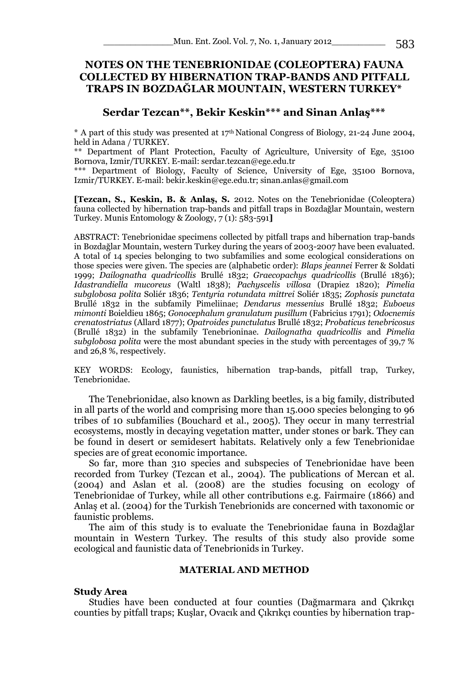# **NOTES ON THE TENEBRIONIDAE (COLEOPTERA) FAUNA COLLECTED BY HIBERNATION TRAP-BANDS AND PITFALL TRAPS IN BOZDAĞLAR MOUNTAIN, WESTERN TURKEY\***

# **Serdar Tezcan\*\*, Bekir Keskin\*\*\* and Sinan Anlaş\*\*\***

 $*$  A part of this study was presented at 17<sup>th</sup> National Congress of Biology, 21-24 June 2004, held in Adana / TURKEY.

\*\* Department of Plant Protection, Faculty of Agriculture, University of Ege, 35100 Bornova, Izmir/TURKEY. E-mail: serdar.tezcan@ege.edu.tr

\*\*\* Department of Biology, Faculty of Science, University of Ege, 35100 Bornova, Izmir/TURKEY. E-mail: bekir.keskin@ege.edu.tr; sinan.anlas@gmail.com

**[Tezcan, S., Keskin, B. & Anlaş, S.** 2012. Notes on the Tenebrionidae (Coleoptera) fauna collected by hibernation trap-bands and pitfall traps in Bozdağlar Mountain, western Turkey. Munis Entomology & Zoology, 7 (1): 583-591**]**

ABSTRACT: Tenebrionidae specimens collected by pitfall traps and hibernation trap-bands in Bozdağlar Mountain, western Turkey during the years of 2003-2007 have been evaluated. A total of 14 species belonging to two subfamilies and some ecological considerations on those species were given. The species are (alphabetic order): *Blaps jeannei* Ferrer & Soldati 1999; *Dailognatha quadricollis* Brullé 1832; *Graecopachys quadricollis* (Brullé 1836); *Idastrandiella mucoreus* (Waltl 1838); *Pachyscelis villosa* (Drapiez 1820); *Pimelia subglobosa polita* Soliér 1836; *Tentyria rotundata mittrei* Soliér 1835; *Zophosis punctata*  Brullé 1832 in the subfamily Pimeliinae; *Dendarus messenius* Brullé 1832; *Euboeus mimonti* Boieldieu 1865; *Gonocephalum granulatum pusillum* (Fabricius 1791); *Odocnemis crenatostriatus* (Allard 1877); *Opatroides punctulatus* Brullé 1832; *Probaticus tenebricosus*  (Brullé 1832) in the subfamily Tenebrioninae. *Dailognatha quadricollis* and *Pimelia subglobosa polita* were the most abundant species in the study with percentages of 39,7 % and 26,8 %, respectively.

KEY WORDS: Ecology, faunistics, hibernation trap-bands, pitfall trap, Turkey, Tenebrionidae.

The Tenebrionidae, also known as Darkling beetles, is a big family, distributed in all parts of the world and comprising more than 15.000 species belonging to 96 tribes of 10 subfamilies (Bouchard et al., 2005). They occur in many terrestrial ecosystems, mostly in decaying vegetation matter, under stones or bark. They can be found in desert or semidesert habitats. Relatively only a few Tenebrionidae species are of great economic importance.

So far, more than 310 species and subspecies of Tenebrionidae have been recorded from Turkey (Tezcan et al., 2004). The publications of Mercan et al. (2004) and Aslan et al. (2008) are the studies focusing on ecology of Tenebrionidae of Turkey, while all other contributions e.g. Fairmaire (1866) and Anlaş et al. (2004) for the Turkish Tenebrionids are concerned with taxonomic or faunistic problems.

The aim of this study is to evaluate the Tenebrionidae fauna in Bozdağlar mountain in Western Turkey. The results of this study also provide some ecological and faunistic data of Tenebrionids in Turkey.

## **MATERIAL AND METHOD**

#### **Study Area**

Studies have been conducted at four counties (Dağmarmara and Çıkrıkçı counties by pitfall traps; Kuşlar, Ovacık and Çıkrıkçı counties by hibernation trap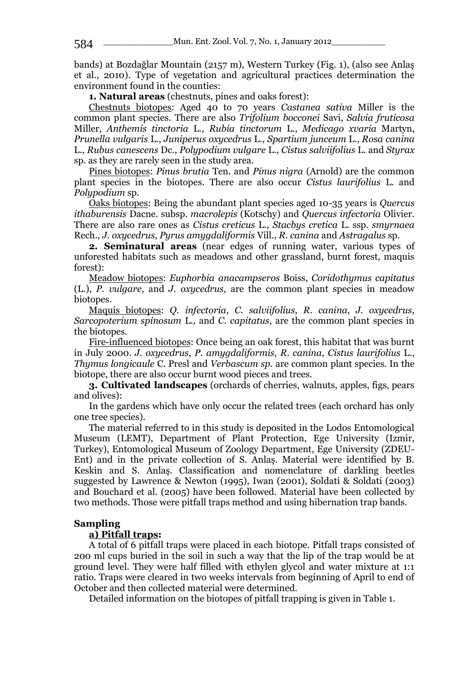bands) at Bozdağlar Mountain (2157 m), Western Turkey (Fig. 1), (also see Anlaş et al., 2010). Type of vegetation and agricultural practices determination the environment found in the counties:

**1. Natural areas** (chestnuts, pines and oaks forest):

Chestnuts biotopes: Aged 40 to 70 years *Castanea sativa* Miller is the common plant species. There are also *Trifolium bocconei* Savi, *Salvia fruticosa*  Miller, *Anthemis tinctoria* L., *Rubia tinctorum* L., *Medicago xvaria* Martyn, *Prunella vulgaris* L., *Juniperus oxycedrus* L., *Spartium junceum* L., *Rosa canina*  L., *Rubus canescens* Dc., *Polypodium vulgare* L., *Cistus salviifolius* L. and *Styrax* sp. as they are rarely seen in the study area.

Pines biotopes: *Pinus brutia* Ten. and *Pinus nigra* (Arnold) are the common plant species in the biotopes. There are also occur *Cistus laurifolius* L*.* and *Polypodium* sp.

Oaks biotopes: Being the abundant plant species aged 10-35 years is *Quercus ithaburensis* Dacne. subsp. *macrolepis* (Kotschy) and *Quercus infectoria* Olivier. There are also rare ones as *Cistus creticus* L., *Stacbys cretica* L. ssp. *smyrnaea*  Rech., *J. oxycedrus*, *Pyrus amygdaliformis* Vill., *R. canina* and *Astragalus* sp.

**2. Seminatural areas** (near edges of running water, various types of unforested habitats such as meadows and other grassland, burnt forest, maquis forest):

Meadow biotopes: *Euphorbia anacampseros* Boiss, *Coridothymus capitatus* (L.), *P. vulgare*, and *J. oxycedrus*, are the common plant species in meadow biotopes.

Maquis biotopes: *Q. infectoria*, *C. salviifolius*, *R. canina*, *J. oxycedrus*, *Sarcopoterium spinosum* L., and *C. capitatus*, are the common plant species in the biotopes.

Fire-influenced biotopes: Once being an oak forest, this habitat that was burnt in July 2000. *J. oxycedrus*, *P. amygdaliformis*, *R. canina*, *Cistus laurifolius* L., *Thymus longicaule* C. Presl and *Verbascum sp.* are common plant species. In the biotope, there are also occur burnt wood pieces and trees.

**3. Cultivated landscapes** (orchards of cherries, walnuts, apples, figs, pears and olives):

In the gardens which have only occur the related trees (each orchard has only one tree species).

The material referred to in this study is deposited in the Lodos Entomological Museum (LEMT), Department of Plant Protection, Ege University (Izmir, Turkey), Entomological Museum of Zoology Department, Ege University (ZDEU-Ent) and in the private collection of S. Anlaş. Material were identified by B. Keskin and S. Anlaş. Classification and nomenclature of darkling beetles suggested by Lawrence & Newton (1995), Iwan (2001), Soldati & Soldati (2003) and Bouchard et al. (2005) have been followed. Material have been collected by two methods. Those were pitfall traps method and using hibernation trap bands.

### **Sampling**

## **a) Pitfall traps:**

A total of 6 pitfall traps were placed in each biotope. Pitfall traps consisted of 200 ml cups buried in the soil in such a way that the lip of the trap would be at ground level. They were half filled with ethylen glycol and water mixture at 1:1 ratio. Traps were cleared in two weeks intervals from beginning of April to end of October and then collected material were determined.

Detailed information on the biotopes of pitfall trapping is given in Table 1.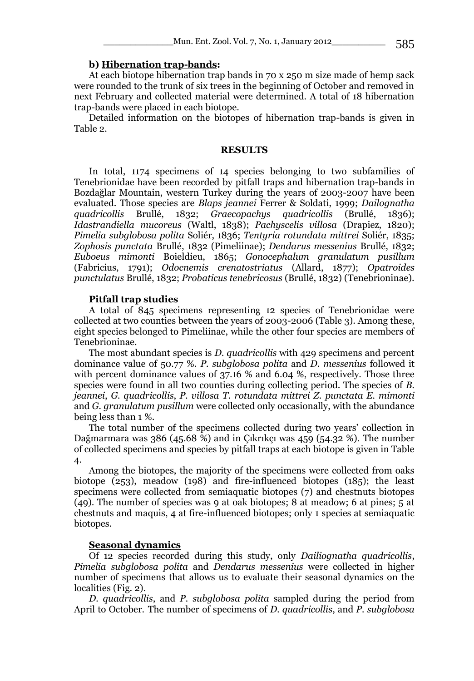### **b) Hibernation trap-bands:**

At each biotope hibernation trap bands in 70 x 250 m size made of hemp sack were rounded to the trunk of six trees in the beginning of October and removed in next February and collected material were determined. A total of 18 hibernation trap-bands were placed in each biotope.

Detailed information on the biotopes of hibernation trap-bands is given in Table 2.

#### **RESULTS**

In total, 1174 specimens of 14 species belonging to two subfamilies of Tenebrionidae have been recorded by pitfall traps and hibernation trap-bands in Bozdağlar Mountain, western Turkey during the years of 2003-2007 have been evaluated. Those species are *Blaps jeannei* Ferrer & Soldati, 1999; *Dailognatha*  1832; *Graecopachys Idastrandiella mucoreus* (Waltl, 1838); *Pachyscelis villosa* (Drapiez, 1820); *Pimelia subglobosa polita* Soliér, 1836; *Tentyria rotundata mittrei* Soliér, 1835; *Zophosis punctata* Brullé, 1832 (Pimeliinae); *Dendarus messenius* Brullé, 1832; *Euboeus mimonti* Boieldieu, 1865; *Gonocephalum granulatum pusillum* (Fabricius, 1791); *Odocnemis crenatostriatus* (Allard, 1877); *Opatroides punctulatus* Brullé, 1832; *Probaticus tenebricosus* (Brullé, 1832) (Tenebrioninae).

#### **Pitfall trap studies**

A total of 845 specimens representing 12 species of Tenebrionidae were collected at two counties between the years of 2003-2006 (Table 3). Among these, eight species belonged to Pimeliinae, while the other four species are members of Tenebrioninae.

The most abundant species is *D. quadricollis* with 429 specimens and percent dominance value of 50.77 %. *P. subglobosa polita* and *D. messenius* followed it with percent dominance values of 37.16 % and 6.04 %, respectively. Those three species were found in all two counties during collecting period. The species of *B. jeannei*, *G. quadricollis*, *P. villosa T. rotundata mittrei Z. punctata E. mimonti* and *G. granulatum pusillum* were collected only occasionally, with the abundance being less than 1 %.

The total number of the specimens collected during two years' collection in Dağmarmara was 386 (45.68 %) and in Çıkrıkçı was 459 (54.32 %). The number of collected specimens and species by pitfall traps at each biotope is given in Table 4.

Among the biotopes, the majority of the specimens were collected from oaks biotope (253), meadow (198) and fire-influenced biotopes (185); the least specimens were collected from semiaquatic biotopes (7) and chestnuts biotopes (49). The number of species was 9 at oak biotopes; 8 at meadow; 6 at pines; 5 at chestnuts and maquis, 4 at fire-influenced biotopes; only 1 species at semiaquatic biotopes.

## **Seasonal dynamics**

Of 12 species recorded during this study, only *Dailiognatha quadricollis*, *Pimelia subglobosa polita* and *Dendarus messenius* were collected in higher number of specimens that allows us to evaluate their seasonal dynamics on the localities (Fig. 2).

*D. quadricollis*, and *P. subglobosa polita* sampled during the period from April to October. The number of specimens of *D. quadricollis*, and *P. subglobosa*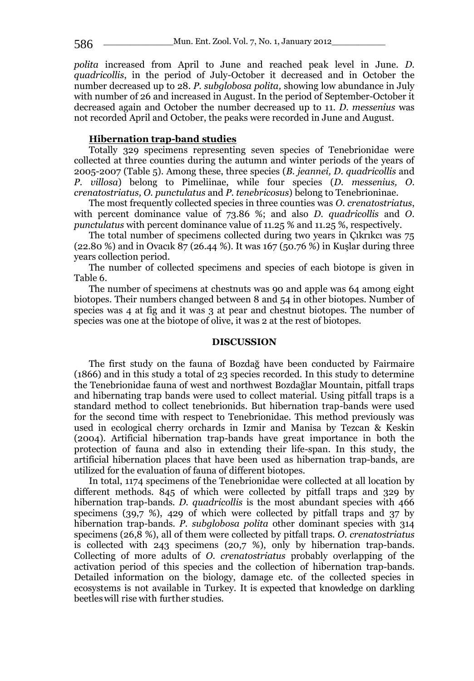*polita* increased from April to June and reached peak level in June. *D. quadricollis*, in the period of July-October it decreased and in October the number decreased up to 28. *P. subglobosa polita,* showing low abundance in July with number of 26 and increased in August. In the period of September-October it decreased again and October the number decreased up to 11. *D. messenius* was not recorded April and October, the peaks were recorded in June and August.

## **Hibernation trap-band studies**

Totally 329 specimens representing seven species of Tenebrionidae were collected at three counties during the autumn and winter periods of the years of 2005-2007 (Table 5). Among these, three species (*B. jeannei, D. quadricollis* and *P. villosa*) belong to Pimeliinae, while four species (*D. messenius, O. crenatostriatus, O. punctulatus* and *P. tenebricosus*) belong to Tenebrioninae.

The most frequently collected species in three counties was *O. crenatostriatus*, with percent dominance value of 73.86 %; and also *D. quadricollis* and *O. punctulatus* with percent dominance value of 11.25 % and 11.25 %, respectively.

The total number of specimens collected during two years in Çıkrıkcı was 75 (22.80 %) and in Ovacık 87 (26.44 %). It was 167 (50.76 %) in Kuşlar during three years collection period.

The number of collected specimens and species of each biotope is given in Table 6.

The number of specimens at chestnuts was 90 and apple was 64 among eight biotopes. Their numbers changed between 8 and 54 in other biotopes. Number of species was 4 at fig and it was 3 at pear and chestnut biotopes. The number of species was one at the biotope of olive, it was 2 at the rest of biotopes.

## **DISCUSSION**

The first study on the fauna of Bozdağ have been conducted by Fairmaire (1866) and in this study a total of 23 species recorded. In this study to determine the Tenebrionidae fauna of west and northwest Bozdağlar Mountain, pitfall traps and hibernating trap bands were used to collect material. Using pitfall traps is a standard method to collect tenebrionids. But hibernation trap-bands were used for the second time with respect to Tenebrionidae. This method previously was used in ecological cherry orchards in Izmir and Manisa by Tezcan & Keskin (2004). Artificial hibernation trap-bands have great importance in both the protection of fauna and also in extending their life-span. In this study, the artificial hibernation places that have been used as hibernation trap-bands, are utilized for the evaluation of fauna of different biotopes.

In total, 1174 specimens of the Tenebrionidae were collected at all location by different methods. 845 of which were collected by pitfall traps and 329 by hibernation trap-bands. *D. quadricollis* is the most abundant species with 466 specimens (39,7 %), 429 of which were collected by pitfall traps and 37 by hibernation trap-bands. *P. subglobosa polita* other dominant species with 314 specimens (26,8 %), all of them were collected by pitfall traps. *O. crenatostriatus*  is collected with 243 specimens (20,7 %), only by hibernation trap-bands. Collecting of more adults of *O. crenatostriatus* probably overlapping of the activation period of this species and the collection of hibernation trap-bands. Detailed information on the biology, damage etc. of the collected species in ecosystems is not available in Turkey. It is expected that knowledge on darkling beetleswill rise with further studies.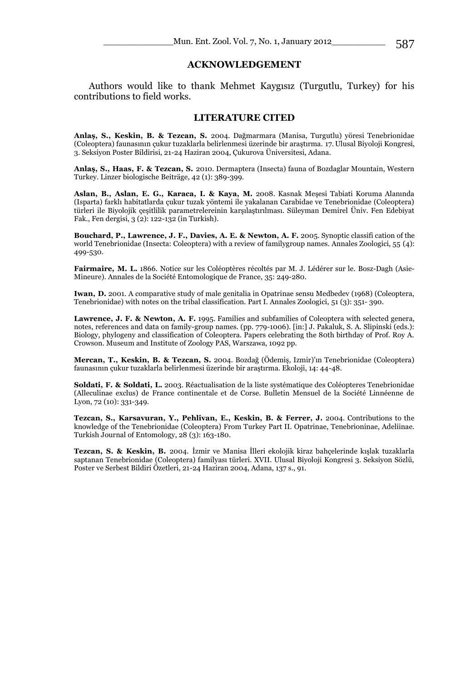## **ACKNOWLEDGEMENT**

Authors would like to thank Mehmet Kaygısız (Turgutlu, Turkey) for his contributions to field works.

### **LITERATURE CITED**

**Anlaş, S., Keskin, B. & Tezcan, S.** 2004. Dağmarmara (Manisa, Turgutlu) yöresi Tenebrionidae (Coleoptera) faunasının çukur tuzaklarla belirlenmesi üzerinde bir araştırma. 17. Ulusal Biyoloji Kongresi, 3. Seksiyon Poster Bildirisi, 21-24 Haziran 2004, Çukurova Üniversitesi, Adana.

**Anlaş, S., Haas, F. & Tezcan, S.** 2010. Dermaptera (Insecta) fauna of Bozdaglar Mountain, Western Turkey. Linzer biologische Beiträge, 42 (1): 389-399.

**Aslan, B., Aslan, E. G., Karaca, I. & Kaya, M.** 2008. Kasnak Meşesi Tabiati Koruma Alanında (Isparta) farklı habitatlarda çukur tuzak yöntemi ile yakalanan Carabidae ve Tenebrionidae (Coleoptera) türleri ile Biyolojik çeşitlilik parametrelereinin karşılaştırılması. Süleyman Demirel Üniv. Fen Edebiyat Fak., Fen dergisi, 3 (2): 122-132 (in Turkish).

**Bouchard, P., Lawrence, J. F., Davies, A. E. & Newton, A. F.** 2005. Synoptic classifi cation of the world Tenebrionidae (Insecta: Coleoptera) with a review of familygroup names. Annales Zoologici, 55 (4): 499-530.

**Fairmaire***,* **M. L.** 1866. Notice sur les Coléoptères récoltés par M. J. Lédérer sur le. Bosz*-*Dagh (Asie-Mineure). Annales de la Société Entomologique de France, 35: 249-280.

**Iwan, D.** 2001. A comparative study of male genitalia in Opatrinae sensu Medbedev (1968) (Coleoptera, Tenebrionidae) with notes on the tribal classification. Part I. Annales Zoologici, 51 (3): 351- 390.

**Lawrence, J. F. & Newton, A. F.** 1995. Families and subfamilies of Coleoptera with selected genera, notes, references and data on family-group names. (pp. 779-1006). [in:] J. Pakaluk, S. A. Slipinski (eds.): Biology, phylogeny and classification of Coleoptera. Papers celebrating the 80th birthday of Prof. Roy A. Crowson. Museum and Institute of Zoology PAS, Warszawa, 1092 pp.

**Mercan, T., Keskin, B. & Tezcan, S.** 2004. Bozdağ (Ödemiş, Izmir)'ın Tenebrionidae (Coleoptera) faunasının çukur tuzaklarla belirlenmesi üzerinde bir araştırma. Ekoloji, 14: 44-48.

**Soldati, F. & Soldati, L.** 2003. Réactualisation de la liste systématique des Coléopteres Tenebrionidae (Alleculinae exclus) de France continentale et de Corse. Bulletin Mensuel de la Société Linnéenne de Lyon, 72 (10): 331-349.

**Tezcan, S., Karsavuran, Y., Pehlivan, E., Keskin, B. & Ferrer, J.** 2004. Contributions to the knowledge of the Tenebrionidae (Coleoptera) From Turkey Part II. Opatrinae, Tenebrioninae, Adeliinae. Turkish Journal of Entomology, 28 (3): 163-180.

**Tezcan, S. & Keskin, B.** 2004. İzmir ve Manisa İlleri ekolojik kiraz bahçelerinde kışlak tuzaklarla saptanan Tenebrionidae (Coleoptera) familyası türleri. XVII. Ulusal Biyoloji Kongresi 3. Seksiyon Sözlü, Poster ve Serbest Bildiri Özetleri, 21-24 Haziran 2004, Adana, 137 s., 91.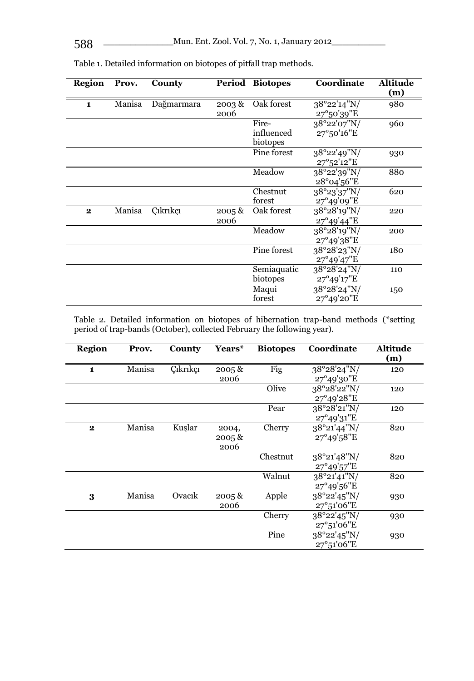| Region       | Prov.  | County     | Period            | <b>Biotopes</b>                 | Coordinate                                    | Altitude<br>(m) |
|--------------|--------|------------|-------------------|---------------------------------|-----------------------------------------------|-----------------|
| $\mathbf{1}$ | Manisa | Dağmarmara | 2003 &<br>2006    | Oak forest                      | 38°22'14"N/<br>$27^{\circ}50'39''E$           | 980             |
|              |        |            |                   | Fire-<br>influenced<br>biotopes | 38°22'07"N/<br>27°50'16"E                     | 960             |
|              |        |            |                   | Pine forest                     | $38^{\circ}22'49''N/$<br>$27^{\circ}52'12''E$ | 930             |
|              |        |            |                   | Meadow                          | $38^{\circ}22'39''N/$<br>28°04'56"E           | 880             |
|              |        |            |                   | Chestnut<br>forest              | 38°23'37''N/<br>27°49'09"E                    | 620             |
| $\mathbf{2}$ | Manisa | Cıkrıkcı   | $2005 \&$<br>2006 | Oak forest                      | 38°28'19"N/<br>$27^{\circ}49'44''E$           | 220             |
|              |        |            |                   | Meadow                          | 38°28'19"N/<br>$27^{\circ}49'38''E$           | 200             |
|              |        |            |                   | Pine forest                     | 38°28'23"N/<br>27°49'47"E                     | 180             |
|              |        |            |                   | Semiaquatic<br>biotopes         | 38°28'24"N/<br>$27^{\circ}49'17''E$           | 110             |
|              |        |            |                   | Maqui<br>forest                 | 38°28'24"N/<br>27°49'20"E                     | 150             |

Table 1. Detailed information on biotopes of pitfall trap methods.

Table 2. Detailed information on biotopes of hibernation trap-band methods (\*setting period of trap-bands (October), collected February the following year).

| <b>Region</b> | Prov.  | County   | Years*    | <b>Biotopes</b> | Coordinate            | <b>Altitude</b> |
|---------------|--------|----------|-----------|-----------------|-----------------------|-----------------|
|               |        |          |           |                 |                       | (m)             |
| $\mathbf{1}$  | Manisa | Cıkrıkçı | $2005 \&$ | Fig             | $38^{\circ}28'24''N/$ | 120             |
|               |        |          | 2006      |                 | $27^{\circ}49'30''E$  |                 |
|               |        |          |           | Olive           | 38°28'22"N/           | 120             |
|               |        |          |           |                 | 27°49'28"E            |                 |
|               |        |          |           | Pear            | 38°28'21"N/           | 120             |
|               |        |          |           |                 | 27°49'31"E            |                 |
| $\mathbf{2}$  | Manisa | Kuşlar   | 2004,     | Cherry          | 38°21'44"N/           | 820             |
|               |        |          | $2005 \&$ |                 | $27^{\circ}49'58''E$  |                 |
|               |        |          | 2006      |                 |                       |                 |
|               |        |          |           | Chestnut        | 38°21'48"N/           | 820             |
|               |        |          |           |                 | $27^{\circ}49'57''E$  |                 |
|               |        |          |           | Walnut          | 38°21'41"N/           | 820             |
|               |        |          |           |                 | $27^{\circ}49'56''E$  |                 |
| 3             | Manisa | Ovacik   | $2005 \&$ | Apple           | 38°22'45"N/           | 930             |
|               |        |          | 2006      |                 | 27°51'06"E            |                 |
|               |        |          |           | Cherry          | $38^{\circ}22'45''N/$ | 930             |
|               |        |          |           |                 | $27^{\circ}51'06''E$  |                 |
|               |        |          |           | Pine            | 38°22'45"N/           | 930             |
|               |        |          |           |                 | $27^{\circ}51'06''E$  |                 |
|               |        |          |           |                 |                       |                 |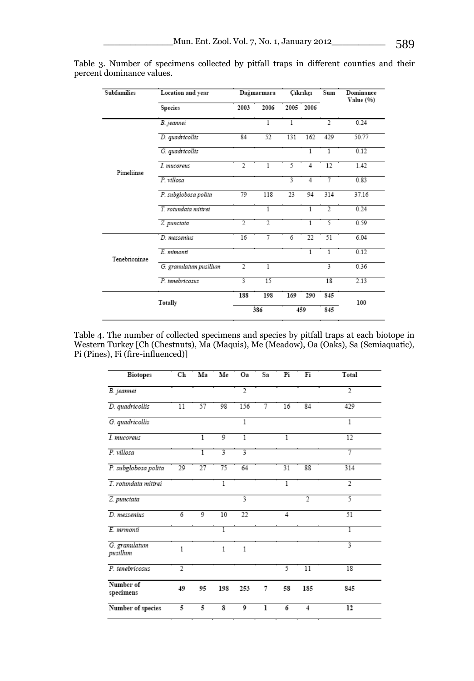| <b>Subfamilies</b> | Location and year      |                | Dağmarmara |      | Cıkrıkçı       |                | Dominance<br>Value (%) |
|--------------------|------------------------|----------------|------------|------|----------------|----------------|------------------------|
|                    | Species                | 2003           | 2006       | 2005 | 2006           |                |                        |
|                    | B. jeannei             |                | 1          | 1    |                | $\overline{2}$ | 0.24                   |
|                    | D. quadricollis        | 84             | 52         | 131  | 162            | 429            | 50.77                  |
|                    | G. quadricollis        |                |            |      | $\overline{1}$ | 1              | 0.12                   |
| Pimeliinae         | I. mucoreus            | $\overline{2}$ | 1          | 5    | 4              | 12             | 1.42                   |
|                    | P. villosa             |                |            | 3    | 4              | 7              | 0.83                   |
|                    | P. subglobosa polita   | 79             | 118        | 23   | 94             | 314            | 37.16                  |
|                    | T. rotundata mittrei   |                | 1          |      | 1              | $\overline{2}$ | 0.24                   |
|                    | Z. punctata            | 2              | 2          |      | 1              | 5              | 0.59                   |
|                    | D. messenius           | 16             | 7          | 6    | 22             | 51             | 6.04                   |
| Tenebrioninae      | E. mimonti             |                |            |      | 1              | 1              | 0.12                   |
|                    | G. granulatum pusillum | $\overline{2}$ | 1          |      |                | 3              | 0.36                   |
|                    | P. tenebricosus        | 3              | 15         |      |                | 18             | 2.13                   |
| Totally            |                        | 188            | 198        | 169  | 290            | 845            |                        |
|                    |                        | 386            |            | 459  |                | 845            | 100                    |

Table 3. Number of specimens collected by pitfall traps in different counties and their percent dominance values.

| Table 4. The number of collected specimens and species by pitfall traps at each biotope in |
|--------------------------------------------------------------------------------------------|
| Western Turkey [Ch (Chestnuts), Ma (Maquis), Me (Meadow), Oa (Oaks), Sa (Semiaquatic),     |
| Pi (Pines), Fi (fire-influenced)]                                                          |

| <b>Biotopes</b>           | Ch             | Ma | Me                      | Oa             | Sa | Pi             | Fi             | Total          |
|---------------------------|----------------|----|-------------------------|----------------|----|----------------|----------------|----------------|
| B. jeannei                |                |    |                         | $\overline{2}$ |    |                |                | $\overline{2}$ |
| D. quadricollis           | 11             | 57 | 98                      | 156            | 7  | 16             | 84             | 429            |
| G. quadricollis           |                |    |                         | 1              |    |                |                | 1              |
| I. mucoreus               |                | 1  | 9                       | 1              |    | 1              |                | 12             |
| P. villosa                |                | 1  | 3                       | 3              |    |                |                | 7              |
| P. subglobosa polita      | 29             | 27 | 75                      | 64             |    | 31             | 88             | 314            |
| T. rotundata mittrei      |                |    | 1                       |                |    | 1              |                | $\overline{2}$ |
| Z. punctata               |                |    |                         | 3              |    |                | $\overline{2}$ | 5              |
| D. messenius              | 6              | 9  | 10                      | 22             |    | $\overline{4}$ |                | 51             |
| E. mrmonti                |                |    | 1                       |                |    |                |                | 1              |
| G. granulatum<br>pusillum | $\mathbf{1}$   |    | $\mathbf{1}$            | 1              |    |                |                | 3              |
| P. tenebricosus           | $\overline{2}$ |    |                         |                |    | 5              | 11             | 18             |
| Number of<br>specimens    | 49             | 95 | 198                     | 253            | 7  | 58             | 185            | 845            |
| Number of species         | 5              | 5  | $\overline{\mathbf{s}}$ | 9              | ı  | 6              | 4              | 12             |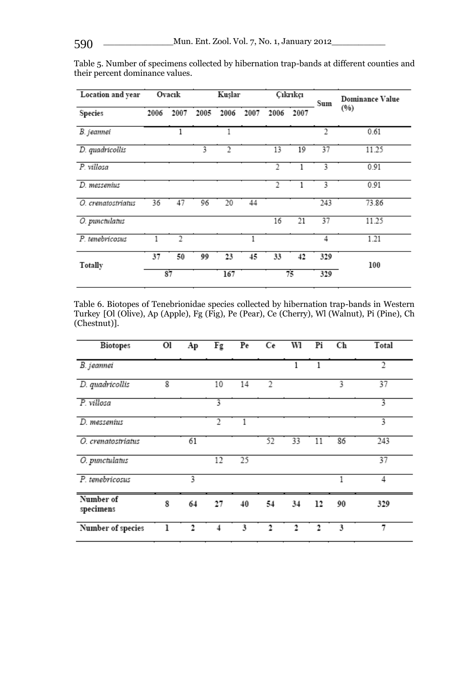| Location and year  | Ovacık |                | Kuşlar |                |      | Cıkrıkçı |      | Sum            | <b>Dominance Value</b> |  |
|--------------------|--------|----------------|--------|----------------|------|----------|------|----------------|------------------------|--|
| Species            | 2006   | 2007           | 2005   | 2006           | 2007 | 2006     | 2007 |                | (96)                   |  |
| B. jeannei         |        | 1              |        | 1              |      |          |      | $\overline{2}$ | 0.61                   |  |
| D. quadricollis    |        |                | 3      | $\overline{2}$ |      | 13       | 19   | 37             | 11.25                  |  |
| P. villosa         |        |                |        |                |      | 2        |      | 3              | 0.91                   |  |
| D. messenius       |        |                |        |                |      | 2        |      | 3              | 0.91                   |  |
| O. crenatostriatus | 36     | 47             | 96     | 20             | 44   |          |      | 243            | 73.86                  |  |
| O. punctulatus     |        |                |        |                |      | 16       | 21   | 37             | 11.25                  |  |
| P. tenebricosus    |        | $\overline{2}$ |        |                | 1    |          |      | 4              | 1.21                   |  |
| Totally            | 37     | 50             | 99     | 23             | 45   | 33       | 42   | 329            | 100                    |  |
|                    |        | 87             |        | 167            |      |          | 75   | 329            |                        |  |

Table 5. Number of specimens collected by hibernation trap-bands at different counties and their percent dominance values.

Table 6. Biotopes of Tenebrionidae species collected by hibernation trap-bands in Western Turkey [Ol (Olive), Ap (Apple), Fg (Fig), Pe (Pear), Ce (Cherry), Wl (Walnut), Pi (Pine), Ch (Chestnut)].

| <b>Biotopes</b>        | Ol | Aр | $\overline{F}$ g | Pe | Сe             | wı | Pi | Ch | Total          |
|------------------------|----|----|------------------|----|----------------|----|----|----|----------------|
| B. jeannei             |    |    |                  |    |                | 1  | 1  |    | $\overline{2}$ |
| D. quadricollis        | 8  |    | 10               | 14 | $\mathfrak{2}$ |    |    | 3  | 37             |
| P. villosa             |    |    | 3                |    |                |    |    |    | 3              |
| D. messenius           |    |    | 2                |    |                |    |    |    | 3              |
| O. crenatostriatus     |    | 61 |                  |    | 52             | 33 | 11 | 86 | 243            |
| O. punctulatus         |    |    | 12               | 25 |                |    |    |    | 37             |
| P. tenebricosus        |    | 3  |                  |    |                |    |    | 1  | 4              |
| Number of<br>specimens | 8  | 64 | 27               | 40 | 54             | 34 | 12 | 90 | 329            |
| Number of species      |    | 2  | 4                | 3  | 2              | 2  | 2  | 3  | 7              |